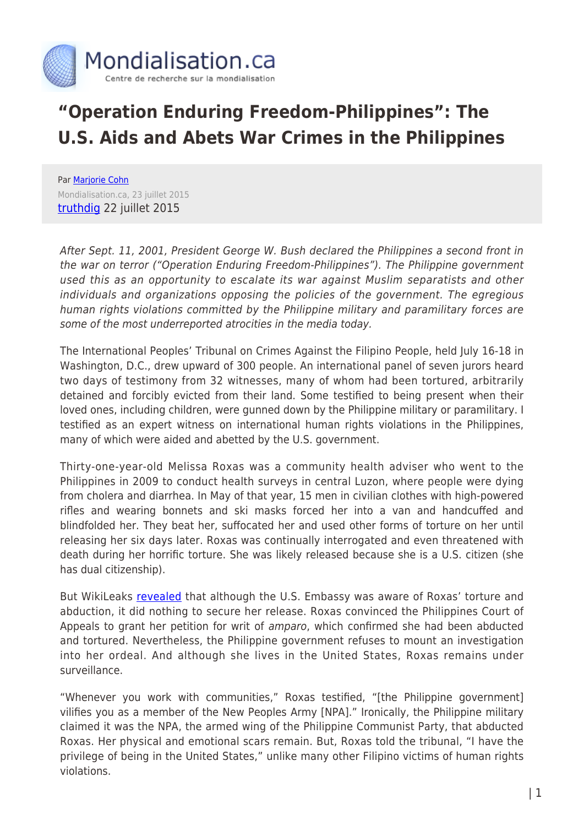

## **"Operation Enduring Freedom-Philippines": The U.S. Aids and Abets War Crimes in the Philippines**

Par [Marjorie Cohn](https://www.mondialisation.ca/author/marjorie-cohn) Mondialisation.ca, 23 juillet 2015 [truthdig](http://www.truthdig.com/report/item/the_us_aids_and_abets_war_crimes_in_the_philippines_20150722) 22 juillet 2015

After Sept. 11, 2001, President George W. Bush declared the Philippines a second front in the war on terror ("Operation Enduring Freedom-Philippines"). The Philippine government used this as an opportunity to escalate its war against Muslim separatists and other individuals and organizations opposing the policies of the government. The egregious human rights violations committed by the Philippine military and paramilitary forces are some of the most underreported atrocities in the media today.

The International Peoples' Tribunal on Crimes Against the Filipino People, held July 16-18 in Washington, D.C., drew upward of 300 people. An international panel of seven jurors heard two days of testimony from 32 witnesses, many of whom had been tortured, arbitrarily detained and forcibly evicted from their land. Some testified to being present when their loved ones, including children, were gunned down by the Philippine military or paramilitary. I testified as an expert witness on international human rights violations in the Philippines, many of which were aided and abetted by the U.S. government.

Thirty-one-year-old Melissa Roxas was a community health adviser who went to the Philippines in 2009 to conduct health surveys in central Luzon, where people were dying from cholera and diarrhea. In May of that year, 15 men in civilian clothes with high-powered rifles and wearing bonnets and ski masks forced her into a van and handcuffed and blindfolded her. They beat her, suffocated her and used other forms of torture on her until releasing her six days later. Roxas was continually interrogated and even threatened with death during her horrific torture. She was likely released because she is a U.S. citizen (she has dual citizenship).

But WikiLeaks [revealed](http://justiceformelissa.org/2011/09/wikileaks-cables-reveal-contradictions-and-lack-of-compassion-in-us-embassys-response-to-abduction-torture-of-melissa-roxas/) that although the U.S. Embassy was aware of Roxas' torture and abduction, it did nothing to secure her release. Roxas convinced the Philippines Court of Appeals to grant her petition for writ of amparo, which confirmed she had been abducted and tortured. Nevertheless, the Philippine government refuses to mount an investigation into her ordeal. And although she lives in the United States, Roxas remains under surveillance.

"Whenever you work with communities," Roxas testified, "[the Philippine government] vilifies you as a member of the New Peoples Army [NPA]." Ironically, the Philippine military claimed it was the NPA, the armed wing of the Philippine Communist Party, that abducted Roxas. Her physical and emotional scars remain. But, Roxas told the tribunal, "I have the privilege of being in the United States," unlike many other Filipino victims of human rights violations.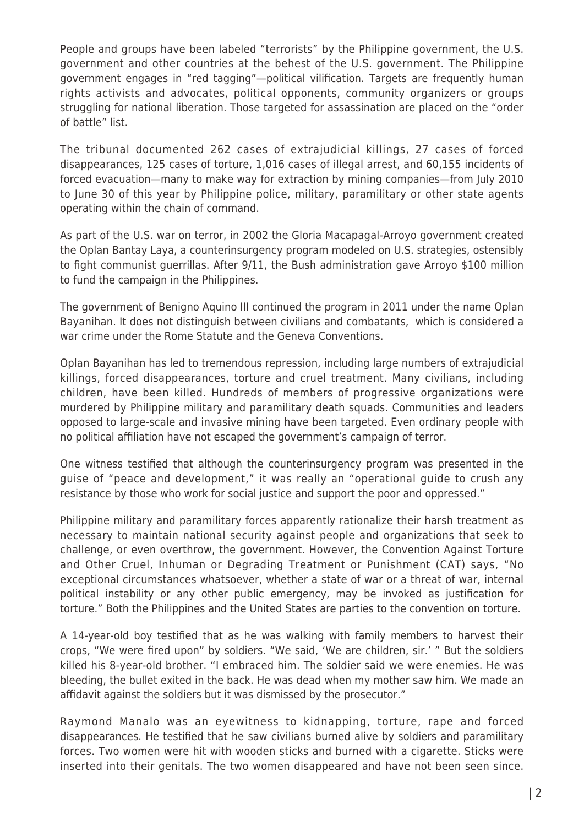People and groups have been labeled "terrorists" by the Philippine government, the U.S. government and other countries at the behest of the U.S. government. The Philippine government engages in "red tagging"—political vilification. Targets are frequently human rights activists and advocates, political opponents, community organizers or groups struggling for national liberation. Those targeted for assassination are placed on the "order of battle" list.

The tribunal documented 262 cases of extrajudicial killings, 27 cases of forced disappearances, 125 cases of torture, 1,016 cases of illegal arrest, and 60,155 incidents of forced evacuation—many to make way for extraction by mining companies—from July 2010 to June 30 of this year by Philippine police, military, paramilitary or other state agents operating within the chain of command.

As part of the U.S. war on terror, in 2002 the Gloria Macapagal-Arroyo government created the Oplan Bantay Laya, a counterinsurgency program modeled on U.S. strategies, ostensibly to fight communist guerrillas. After 9/11, the Bush administration gave Arroyo \$100 million to fund the campaign in the Philippines.

The government of Benigno Aquino III continued the program in 2011 under the name Oplan Bayanihan. It does not distinguish between civilians and combatants, which is considered a war crime under the Rome Statute and the Geneva Conventions.

Oplan Bayanihan has led to tremendous repression, including large numbers of extrajudicial killings, forced disappearances, torture and cruel treatment. Many civilians, including children, have been killed. Hundreds of members of progressive organizations were murdered by Philippine military and paramilitary death squads. Communities and leaders opposed to large-scale and invasive mining have been targeted. Even ordinary people with no political affiliation have not escaped the government's campaign of terror.

One witness testified that although the counterinsurgency program was presented in the guise of "peace and development," it was really an "operational guide to crush any resistance by those who work for social justice and support the poor and oppressed."

Philippine military and paramilitary forces apparently rationalize their harsh treatment as necessary to maintain national security against people and organizations that seek to challenge, or even overthrow, the government. However, the Convention Against Torture and Other Cruel, Inhuman or Degrading Treatment or Punishment (CAT) says, "No exceptional circumstances whatsoever, whether a state of war or a threat of war, internal political instability or any other public emergency, may be invoked as justification for torture." Both the Philippines and the United States are parties to the convention on torture.

A 14-year-old boy testified that as he was walking with family members to harvest their crops, "We were fired upon" by soldiers. "We said, 'We are children, sir.' " But the soldiers killed his 8-year-old brother. "I embraced him. The soldier said we were enemies. He was bleeding, the bullet exited in the back. He was dead when my mother saw him. We made an affidavit against the soldiers but it was dismissed by the prosecutor."

Raymond Manalo was an eyewitness to kidnapping, torture, rape and forced disappearances. He testified that he saw civilians burned alive by soldiers and paramilitary forces. Two women were hit with wooden sticks and burned with a cigarette. Sticks were inserted into their genitals. The two women disappeared and have not been seen since.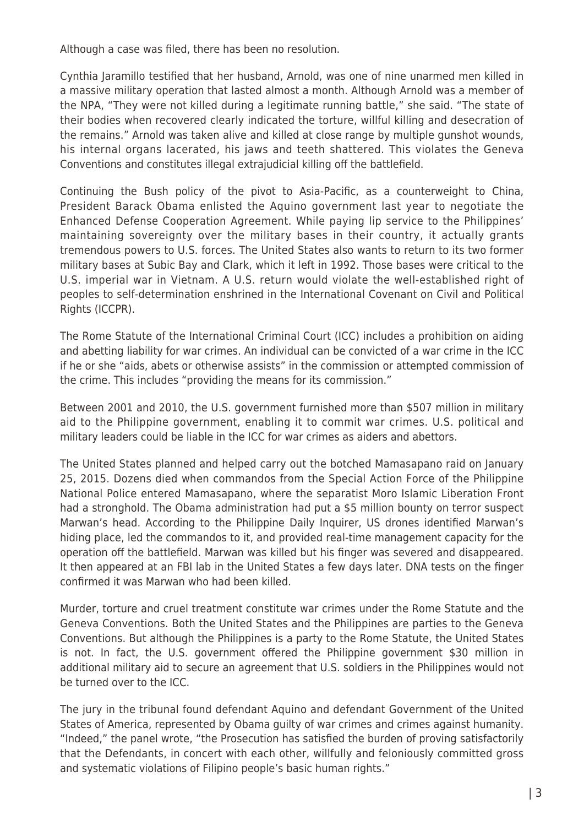Although a case was filed, there has been no resolution.

Cynthia Jaramillo testified that her husband, Arnold, was one of nine unarmed men killed in a massive military operation that lasted almost a month. Although Arnold was a member of the NPA, "They were not killed during a legitimate running battle," she said. "The state of their bodies when recovered clearly indicated the torture, willful killing and desecration of the remains." Arnold was taken alive and killed at close range by multiple gunshot wounds, his internal organs lacerated, his jaws and teeth shattered. This violates the Geneva Conventions and constitutes illegal extrajudicial killing off the battlefield.

Continuing the Bush policy of the pivot to Asia-Pacific, as a counterweight to China, President Barack Obama enlisted the Aquino government last year to negotiate the Enhanced Defense Cooperation Agreement. While paying lip service to the Philippines' maintaining sovereignty over the military bases in their country, it actually grants tremendous powers to U.S. forces. The United States also wants to return to its two former military bases at Subic Bay and Clark, which it left in 1992. Those bases were critical to the U.S. imperial war in Vietnam. A U.S. return would violate the well-established right of peoples to self-determination enshrined in the International Covenant on Civil and Political Rights (ICCPR).

The Rome Statute of the International Criminal Court (ICC) includes a prohibition on aiding and abetting liability for war crimes. An individual can be convicted of a war crime in the ICC if he or she "aids, abets or otherwise assists" in the commission or attempted commission of the crime. This includes "providing the means for its commission."

Between 2001 and 2010, the U.S. government furnished more than \$507 million in military aid to the Philippine government, enabling it to commit war crimes. U.S. political and military leaders could be liable in the ICC for war crimes as aiders and abettors.

The United States planned and helped carry out the botched Mamasapano raid on January 25, 2015. Dozens died when commandos from the Special Action Force of the Philippine National Police entered Mamasapano, where the separatist Moro Islamic Liberation Front had a stronghold. The Obama administration had put a \$5 million bounty on terror suspect Marwan's head. According to the Philippine Daily Inquirer, US drones identified Marwan's hiding place, led the commandos to it, and provided real-time management capacity for the operation off the battlefield. Marwan was killed but his finger was severed and disappeared. It then appeared at an FBI lab in the United States a few days later. DNA tests on the finger confirmed it was Marwan who had been killed.

Murder, torture and cruel treatment constitute war crimes under the Rome Statute and the Geneva Conventions. Both the United States and the Philippines are parties to the Geneva Conventions. But although the Philippines is a party to the Rome Statute, the United States is not. In fact, the U.S. government offered the Philippine government \$30 million in additional military aid to secure an agreement that U.S. soldiers in the Philippines would not be turned over to the ICC.

The jury in the tribunal found defendant Aquino and defendant Government of the United States of America, represented by Obama guilty of war crimes and crimes against humanity. "Indeed," the panel wrote, "the Prosecution has satisfied the burden of proving satisfactorily that the Defendants, in concert with each other, willfully and feloniously committed gross and systematic violations of Filipino people's basic human rights."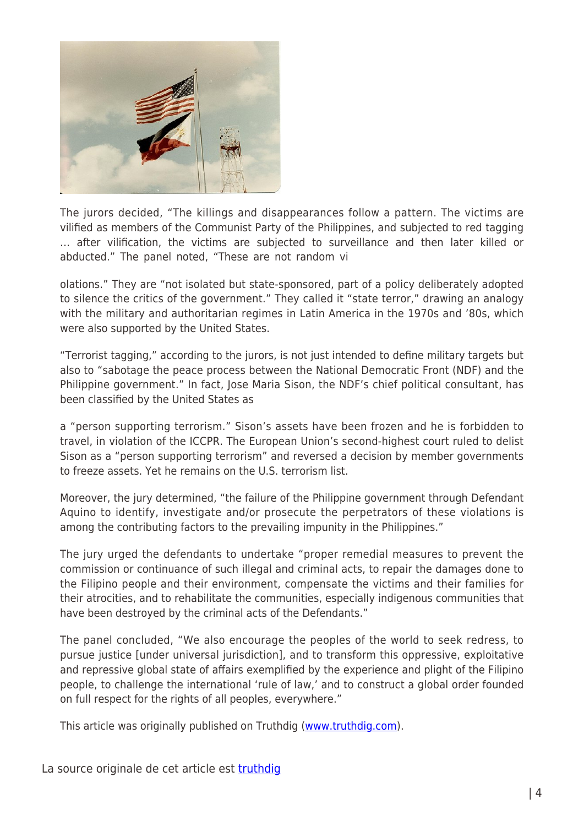

The jurors decided, "The killings and disappearances follow a pattern. The victims are vilified as members of the Communist Party of the Philippines, and subjected to red tagging … after vilification, the victims are subjected to surveillance and then later killed or abducted." The panel noted, "These are not random vi

olations." They are "not isolated but state-sponsored, part of a policy deliberately adopted to silence the critics of the government." They called it "state terror," drawing an analogy with the military and authoritarian regimes in Latin America in the 1970s and '80s, which were also supported by the United States.

"Terrorist tagging," according to the jurors, is not just intended to define military targets but also to "sabotage the peace process between the National Democratic Front (NDF) and the Philippine government." In fact, Jose Maria Sison, the NDF's chief political consultant, has been classified by the United States as

a "person supporting terrorism." Sison's assets have been frozen and he is forbidden to travel, in violation of the ICCPR. The European Union's second-highest court ruled to delist Sison as a "person supporting terrorism" and reversed a decision by member governments to freeze assets. Yet he remains on the U.S. terrorism list.

Moreover, the jury determined, "the failure of the Philippine government through Defendant Aquino to identify, investigate and/or prosecute the perpetrators of these violations is among the contributing factors to the prevailing impunity in the Philippines."

The jury urged the defendants to undertake "proper remedial measures to prevent the commission or continuance of such illegal and criminal acts, to repair the damages done to the Filipino people and their environment, compensate the victims and their families for their atrocities, and to rehabilitate the communities, especially indigenous communities that have been destroyed by the criminal acts of the Defendants."

The panel concluded, "We also encourage the peoples of the world to seek redress, to pursue justice [under universal jurisdiction], and to transform this oppressive, exploitative and repressive global state of affairs exemplified by the experience and plight of the Filipino people, to challenge the international 'rule of law,' and to construct a global order founded on full respect for the rights of all peoples, everywhere."

This article was originally published on Truthdig [\(www.truthdig.com\)](http://www.truthdig.com/).